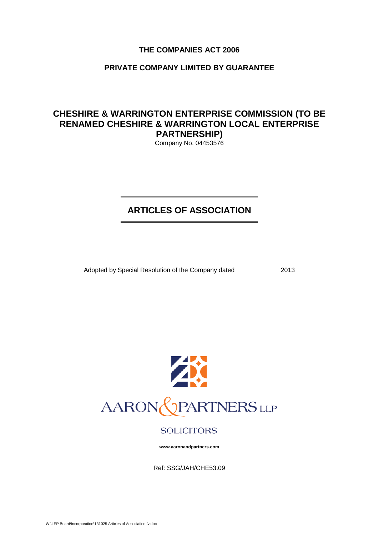# **THE COMPANIES ACT 2006**

# **PRIVATE COMPANY LIMITED BY GUARANTEE**

# **CHESHIRE & WARRINGTON ENTERPRISE COMMISSION (TO BE RENAMED CHESHIRE & WARRINGTON LOCAL ENTERPRISE PARTNERSHIP)**

Company No. 04453576

# **ARTICLES OF ASSOCIATION**

Adopted by Special Resolution of the Company dated 2013



# **SOLICITORS**

**www.aaronandpartners.com**

Ref: SSG/JAH/CHE53.09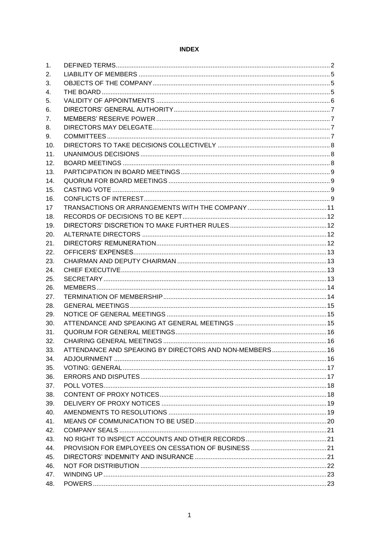# **INDEX**

| 1.  |                                                         |  |
|-----|---------------------------------------------------------|--|
| 2.  |                                                         |  |
| 3.  |                                                         |  |
| 4.  |                                                         |  |
| 5.  |                                                         |  |
| 6.  |                                                         |  |
| 7.  |                                                         |  |
| 8.  |                                                         |  |
| 9.  |                                                         |  |
| 10. |                                                         |  |
| 11. |                                                         |  |
| 12. |                                                         |  |
| 13. |                                                         |  |
| 14. |                                                         |  |
| 15. |                                                         |  |
| 16. |                                                         |  |
| 17  |                                                         |  |
| 18. |                                                         |  |
| 19. |                                                         |  |
| 20. |                                                         |  |
| 21. |                                                         |  |
| 22. |                                                         |  |
| 23. |                                                         |  |
| 24. |                                                         |  |
|     |                                                         |  |
| 25. |                                                         |  |
| 26. |                                                         |  |
| 27. |                                                         |  |
| 28. |                                                         |  |
| 29. |                                                         |  |
| 30. |                                                         |  |
| 31. |                                                         |  |
| 32. |                                                         |  |
| 33. | ATTENDANCE AND SPEAKING BY DIRECTORS AND NON-MEMBERS 16 |  |
| 34. |                                                         |  |
| 35. |                                                         |  |
| 36. |                                                         |  |
| 37. |                                                         |  |
| 38. |                                                         |  |
| 39. |                                                         |  |
| 40. |                                                         |  |
| 41. |                                                         |  |
| 42. |                                                         |  |
| 43. |                                                         |  |
| 44. |                                                         |  |
| 45. |                                                         |  |
| 46. |                                                         |  |
| 47. |                                                         |  |
| 48. |                                                         |  |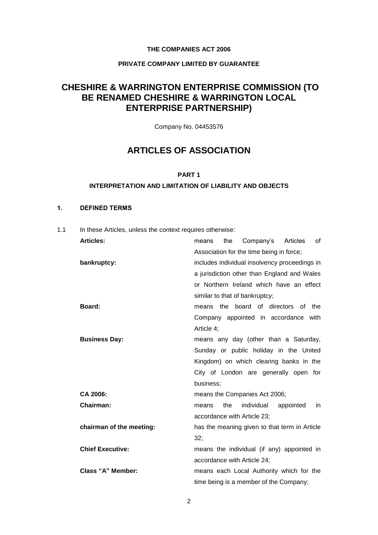## **THE COMPANIES ACT 2006**

# **PRIVATE COMPANY LIMITED BY GUARANTEE**

# **CHESHIRE & WARRINGTON ENTERPRISE COMMISSION (TO BE RENAMED CHESHIRE & WARRINGTON LOCAL ENTERPRISE PARTNERSHIP)**

Company No. 04453576

# **ARTICLES OF ASSOCIATION**

#### **PART 1**

#### **INTERPRETATION AND LIMITATION OF LIABILITY AND OBJECTS**

## **1. DEFINED TERMS**

1.1 In these Articles, unless the context requires otherwise:

| <b>Articles:</b>         | Company's<br>the<br>Articles<br>οf<br>means   |
|--------------------------|-----------------------------------------------|
|                          | Association for the time being in force;      |
| bankruptcy:              | includes individual insolvency proceedings in |
|                          | a jurisdiction other than England and Wales   |
|                          | or Northern Ireland which have an effect      |
|                          | similar to that of bankruptcy;                |
| Board:                   | means the board of directors of the           |
|                          | Company appointed in accordance with          |
|                          | Article 4;                                    |
| <b>Business Day:</b>     | means any day (other than a Saturday,         |
|                          | Sunday or public holiday in the United        |
|                          | Kingdom) on which clearing banks in the       |
|                          | City of London are generally open for         |
|                          | business;                                     |
| CA 2006:                 | means the Companies Act 2006;                 |
| Chairman:                | individual<br>the<br>appointed<br>in<br>means |
|                          | accordance with Article 23;                   |
| chairman of the meeting: | has the meaning given to that term in Article |
|                          | 32:                                           |
| <b>Chief Executive:</b>  | means the individual (if any) appointed in    |
|                          | accordance with Article 24;                   |
| Class "A" Member:        | means each Local Authority which for the      |
|                          | time being is a member of the Company;        |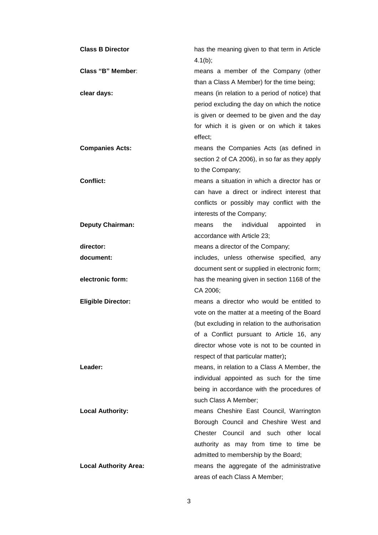| <b>Class B Director</b>      | has the meaning given to that term in Article<br>$4.1(b)$ ; |
|------------------------------|-------------------------------------------------------------|
| Class "B" Member:            | means a member of the Company (other                        |
|                              | than a Class A Member) for the time being;                  |
| clear days:                  | means (in relation to a period of notice) that              |
|                              | period excluding the day on which the notice                |
|                              | is given or deemed to be given and the day                  |
|                              | for which it is given or on which it takes                  |
|                              | effect;                                                     |
| <b>Companies Acts:</b>       | means the Companies Acts (as defined in                     |
|                              | section 2 of CA 2006), in so far as they apply              |
|                              | to the Company;                                             |
| <b>Conflict:</b>             | means a situation in which a director has or                |
|                              | can have a direct or indirect interest that                 |
|                              | conflicts or possibly may conflict with the                 |
|                              | interests of the Company;                                   |
| <b>Deputy Chairman:</b>      | the<br>individual<br>appointed<br>means<br>in.              |
|                              | accordance with Article 23;                                 |
| director:                    | means a director of the Company;                            |
| document:                    | includes, unless otherwise specified, any                   |
|                              | document sent or supplied in electronic form;               |
| electronic form:             | has the meaning given in section 1168 of the                |
|                              | CA 2006;                                                    |
| <b>Eligible Director:</b>    | means a director who would be entitled to                   |
|                              | vote on the matter at a meeting of the Board                |
|                              | (but excluding in relation to the authorisation             |
|                              | of a Conflict pursuant to Article 16, any                   |
|                              | director whose vote is not to be counted in                 |
|                              | respect of that particular matter);                         |
| Leader:                      | means, in relation to a Class A Member, the                 |
|                              | individual appointed as such for the time                   |
|                              | being in accordance with the procedures of                  |
|                              | such Class A Member;                                        |
| <b>Local Authority:</b>      | means Cheshire East Council, Warrington                     |
|                              | Borough Council and Cheshire West and                       |
|                              | Chester Council and such other local                        |
|                              | authority as may from time to time be                       |
|                              | admitted to membership by the Board;                        |
| <b>Local Authority Area:</b> | means the aggregate of the administrative                   |
|                              | areas of each Class A Member;                               |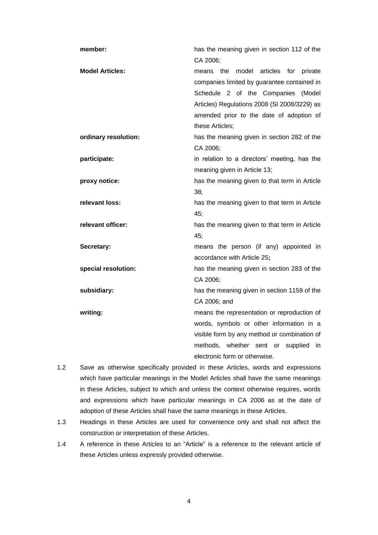| member:                | has the meaning given in section 112 of the   |
|------------------------|-----------------------------------------------|
|                        | CA 2006;                                      |
| <b>Model Articles:</b> | means the model articles for private          |
|                        | companies limited by guarantee contained in   |
|                        | Schedule 2 of the Companies<br>(Model         |
|                        | Articles) Regulations 2008 (SI 2008/3229) as  |
|                        | amended prior to the date of adoption of      |
|                        | these Articles;                               |
| ordinary resolution:   | has the meaning given in section 282 of the   |
|                        | CA 2006:                                      |
| participate:           | in relation to a directors' meeting, has the  |
|                        | meaning given in Article 13;                  |
| proxy notice:          | has the meaning given to that term in Article |
|                        | 38;                                           |
| relevant loss:         | has the meaning given to that term in Article |
|                        | 45;                                           |
| relevant officer:      | has the meaning given to that term in Article |
|                        | 45;                                           |
| Secretary:             | means the person (if any) appointed in        |
|                        | accordance with Article 25;                   |
| special resolution:    | has the meaning given in section 283 of the   |
|                        | CA 2006;                                      |
| subsidiary:            | has the meaning given in section 1159 of the  |
|                        | CA 2006; and                                  |
| writing:               | means the representation or reproduction of   |
|                        | words, symbols or other information in a      |
|                        | visible form by any method or combination of  |
|                        | methods, whether sent or<br>supplied<br>in.   |
|                        | electronic form or otherwise.                 |

- 1.2 Save as otherwise specifically provided in these Articles, words and expressions which have particular meanings in the Model Articles shall have the same meanings in these Articles, subject to which and unless the context otherwise requires, words and expressions which have particular meanings in CA 2006 as at the date of adoption of these Articles shall have the same meanings in these Articles.
- 1.3 Headings in these Articles are used for convenience only and shall not affect the construction or interpretation of these Articles.
- 1.4 A reference in these Articles to an "Article" is a reference to the relevant article of these Articles unless expressly provided otherwise.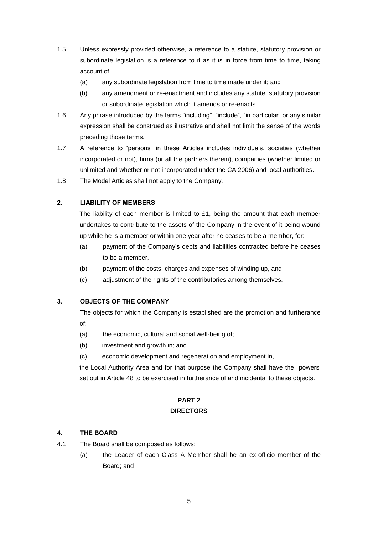- 1.5 Unless expressly provided otherwise, a reference to a statute, statutory provision or subordinate legislation is a reference to it as it is in force from time to time, taking account of:
	- (a) any subordinate legislation from time to time made under it; and
	- (b) any amendment or re-enactment and includes any statute, statutory provision or subordinate legislation which it amends or re-enacts.
- 1.6 Any phrase introduced by the terms "including", "include", "in particular" or any similar expression shall be construed as illustrative and shall not limit the sense of the words preceding those terms.
- 1.7 A reference to "persons" in these Articles includes individuals, societies (whether incorporated or not), firms (or all the partners therein), companies (whether limited or unlimited and whether or not incorporated under the CA 2006) and local authorities.
- 1.8 The Model Articles shall not apply to the Company.

# **2. LIABILITY OF MEMBERS**

The liability of each member is limited to £1, being the amount that each member undertakes to contribute to the assets of the Company in the event of it being wound up while he is a member or within one year after he ceases to be a member, for:

- (a) payment of the Company's debts and liabilities contracted before he ceases to be a member,
- (b) payment of the costs, charges and expenses of winding up, and
- (c) adjustment of the rights of the contributories among themselves.

# **3. OBJECTS OF THE COMPANY**

The objects for which the Company is established are the promotion and furtherance of:

- (a) the economic, cultural and social well-being of;
- (b) investment and growth in; and
- (c) economic development and regeneration and employment in,

the Local Authority Area and for that purpose the Company shall have the powers set out in Article 48 to be exercised in furtherance of and incidental to these objects.

# **PART 2**

## **DIRECTORS**

#### **4. THE BOARD**

- 4.1 The Board shall be composed as follows:
	- (a) the Leader of each Class A Member shall be an ex-officio member of the Board; and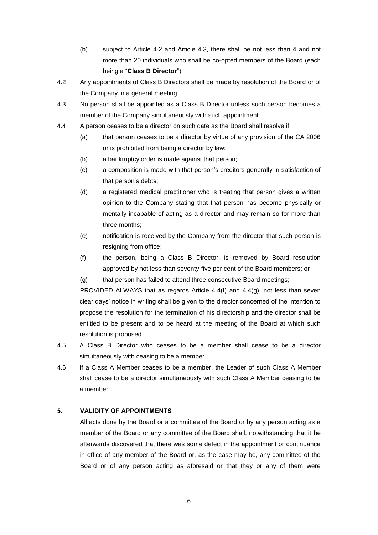- (b) subject to Article 4.2 and Article 4.3, there shall be not less than 4 and not more than 20 individuals who shall be co-opted members of the Board (each being a "**Class B Director**").
- 4.2 Any appointments of Class B Directors shall be made by resolution of the Board or of the Company in a general meeting.
- 4.3 No person shall be appointed as a Class B Director unless such person becomes a member of the Company simultaneously with such appointment.
- 4.4 A person ceases to be a director on such date as the Board shall resolve if:
	- (a) that person ceases to be a director by virtue of any provision of the CA 2006 or is prohibited from being a director by law;
	- (b) a bankruptcy order is made against that person;
	- (c) a composition is made with that person's creditors generally in satisfaction of that person's debts;
	- (d) a registered medical practitioner who is treating that person gives a written opinion to the Company stating that that person has become physically or mentally incapable of acting as a director and may remain so for more than three months;
	- (e) notification is received by the Company from the director that such person is resigning from office;
	- (f) the person, being a Class B Director, is removed by Board resolution approved by not less than seventy-five per cent of the Board members; or
	- (g) that person has failed to attend three consecutive Board meetings;

PROVIDED ALWAYS that as regards Article 4.4(f) and 4.4(g), not less than seven clear days' notice in writing shall be given to the director concerned of the intention to propose the resolution for the termination of his directorship and the director shall be entitled to be present and to be heard at the meeting of the Board at which such resolution is proposed.

- 4.5 A Class B Director who ceases to be a member shall cease to be a director simultaneously with ceasing to be a member.
- 4.6 If a Class A Member ceases to be a member, the Leader of such Class A Member shall cease to be a director simultaneously with such Class A Member ceasing to be a member.

## **5. VALIDITY OF APPOINTMENTS**

All acts done by the Board or a committee of the Board or by any person acting as a member of the Board or any committee of the Board shall, notwithstanding that it be afterwards discovered that there was some defect in the appointment or continuance in office of any member of the Board or, as the case may be, any committee of the Board or of any person acting as aforesaid or that they or any of them were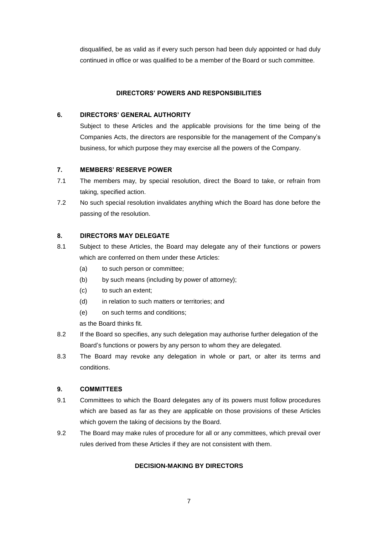disqualified, be as valid as if every such person had been duly appointed or had duly continued in office or was qualified to be a member of the Board or such committee.

### **DIRECTORS' POWERS AND RESPONSIBILITIES**

## **6. DIRECTORS' GENERAL AUTHORITY**

Subject to these Articles and the applicable provisions for the time being of the Companies Acts, the directors are responsible for the management of the Company's business, for which purpose they may exercise all the powers of the Company.

## **7. MEMBERS' RESERVE POWER**

- 7.1 The members may, by special resolution, direct the Board to take, or refrain from taking, specified action.
- 7.2 No such special resolution invalidates anything which the Board has done before the passing of the resolution.

## **8. DIRECTORS MAY DELEGATE**

- 8.1 Subject to these Articles, the Board may delegate any of their functions or powers which are conferred on them under these Articles:
	- (a) to such person or committee;
	- (b) by such means (including by power of attorney);
	- (c) to such an extent;
	- (d) in relation to such matters or territories; and
	- (e) on such terms and conditions;

as the Board thinks fit.

- 8.2 If the Board so specifies, any such delegation may authorise further delegation of the Board's functions or powers by any person to whom they are delegated.
- 8.3 The Board may revoke any delegation in whole or part, or alter its terms and conditions.

#### **9. COMMITTEES**

- 9.1 Committees to which the Board delegates any of its powers must follow procedures which are based as far as they are applicable on those provisions of these Articles which govern the taking of decisions by the Board.
- 9.2 The Board may make rules of procedure for all or any committees, which prevail over rules derived from these Articles if they are not consistent with them.

# **DECISION-MAKING BY DIRECTORS**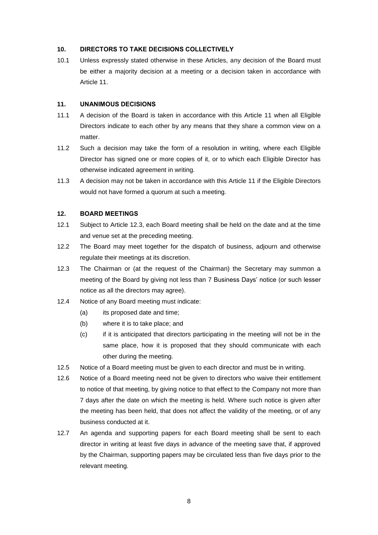#### **10. DIRECTORS TO TAKE DECISIONS COLLECTIVELY**

10.1 Unless expressly stated otherwise in these Articles, any decision of the Board must be either a majority decision at a meeting or a decision taken in accordance with Article 11.

#### **11. UNANIMOUS DECISIONS**

- 11.1 A decision of the Board is taken in accordance with this Article 11 when all Eligible Directors indicate to each other by any means that they share a common view on a matter.
- 11.2 Such a decision may take the form of a resolution in writing, where each Eligible Director has signed one or more copies of it, or to which each Eligible Director has otherwise indicated agreement in writing.
- 11.3 A decision may not be taken in accordance with this Article 11 if the Eligible Directors would not have formed a quorum at such a meeting.

#### **12. BOARD MEETINGS**

- 12.1 Subject to Article 12.3, each Board meeting shall be held on the date and at the time and venue set at the preceding meeting.
- 12.2 The Board may meet together for the dispatch of business, adjourn and otherwise regulate their meetings at its discretion.
- 12.3 The Chairman or (at the request of the Chairman) the Secretary may summon a meeting of the Board by giving not less than 7 Business Days' notice (or such lesser notice as all the directors may agree).
- 12.4 Notice of any Board meeting must indicate:
	- (a) its proposed date and time;
	- (b) where it is to take place; and
	- (c) if it is anticipated that directors participating in the meeting will not be in the same place, how it is proposed that they should communicate with each other during the meeting.
- 12.5 Notice of a Board meeting must be given to each director and must be in writing.
- 12.6 Notice of a Board meeting need not be given to directors who waive their entitlement to notice of that meeting, by giving notice to that effect to the Company not more than 7 days after the date on which the meeting is held. Where such notice is given after the meeting has been held, that does not affect the validity of the meeting, or of any business conducted at it.
- 12.7 An agenda and supporting papers for each Board meeting shall be sent to each director in writing at least five days in advance of the meeting save that, if approved by the Chairman, supporting papers may be circulated less than five days prior to the relevant meeting.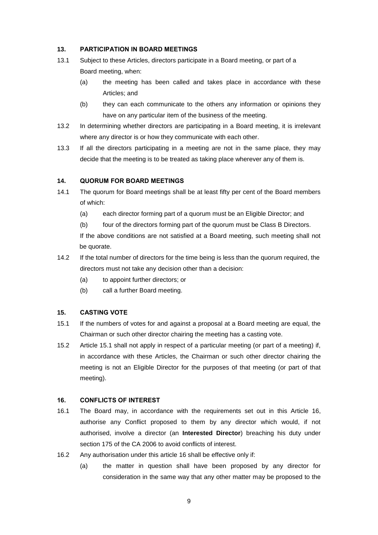#### **13. PARTICIPATION IN BOARD MEETINGS**

- 13.1 Subject to these Articles, directors participate in a Board meeting, or part of a Board meeting, when:
	- (a) the meeting has been called and takes place in accordance with these Articles; and
	- (b) they can each communicate to the others any information or opinions they have on any particular item of the business of the meeting.
- 13.2 In determining whether directors are participating in a Board meeting, it is irrelevant where any director is or how they communicate with each other.
- 13.3 If all the directors participating in a meeting are not in the same place, they may decide that the meeting is to be treated as taking place wherever any of them is.

#### **14. QUORUM FOR BOARD MEETINGS**

- 14.1 The quorum for Board meetings shall be at least fifty per cent of the Board members of which:
	- (a) each director forming part of a quorum must be an Eligible Director; and
	- (b) four of the directors forming part of the quorum must be Class B Directors.

If the above conditions are not satisfied at a Board meeting, such meeting shall not be quorate.

- 14.2 If the total number of directors for the time being is less than the quorum required, the directors must not take any decision other than a decision:
	- (a) to appoint further directors; or
	- (b) call a further Board meeting.

#### **15. CASTING VOTE**

- 15.1 If the numbers of votes for and against a proposal at a Board meeting are equal, the Chairman or such other director chairing the meeting has a casting vote.
- 15.2 Article 15.1 shall not apply in respect of a particular meeting (or part of a meeting) if, in accordance with these Articles, the Chairman or such other director chairing the meeting is not an Eligible Director for the purposes of that meeting (or part of that meeting).

## **16. CONFLICTS OF INTEREST**

- 16.1 The Board may, in accordance with the requirements set out in this Article 16, authorise any Conflict proposed to them by any director which would, if not authorised, involve a director (an **Interested Director**) breaching his duty under section 175 of the CA 2006 to avoid conflicts of interest.
- 16.2 Any authorisation under this article 16 shall be effective only if:
	- (a) the matter in question shall have been proposed by any director for consideration in the same way that any other matter may be proposed to the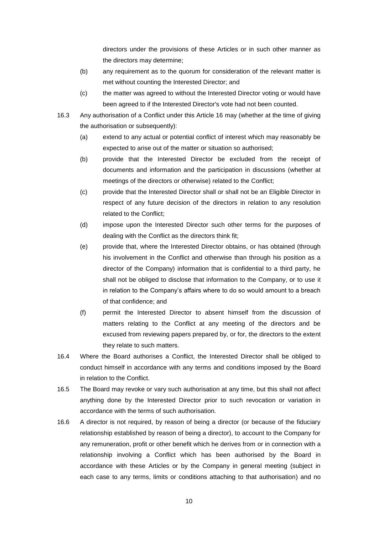directors under the provisions of these Articles or in such other manner as the directors may determine;

- (b) any requirement as to the quorum for consideration of the relevant matter is met without counting the Interested Director; and
- (c) the matter was agreed to without the Interested Director voting or would have been agreed to if the Interested Director's vote had not been counted.
- 16.3 Any authorisation of a Conflict under this Article 16 may (whether at the time of giving the authorisation or subsequently):
	- (a) extend to any actual or potential conflict of interest which may reasonably be expected to arise out of the matter or situation so authorised;
	- (b) provide that the Interested Director be excluded from the receipt of documents and information and the participation in discussions (whether at meetings of the directors or otherwise) related to the Conflict;
	- (c) provide that the Interested Director shall or shall not be an Eligible Director in respect of any future decision of the directors in relation to any resolution related to the Conflict;
	- (d) impose upon the Interested Director such other terms for the purposes of dealing with the Conflict as the directors think fit;
	- (e) provide that, where the Interested Director obtains, or has obtained (through his involvement in the Conflict and otherwise than through his position as a director of the Company) information that is confidential to a third party, he shall not be obliged to disclose that information to the Company, or to use it in relation to the Company's affairs where to do so would amount to a breach of that confidence; and
	- (f) permit the Interested Director to absent himself from the discussion of matters relating to the Conflict at any meeting of the directors and be excused from reviewing papers prepared by, or for, the directors to the extent they relate to such matters.
- 16.4 Where the Board authorises a Conflict, the Interested Director shall be obliged to conduct himself in accordance with any terms and conditions imposed by the Board in relation to the Conflict.
- 16.5 The Board may revoke or vary such authorisation at any time, but this shall not affect anything done by the Interested Director prior to such revocation or variation in accordance with the terms of such authorisation.
- 16.6 A director is not required, by reason of being a director (or because of the fiduciary relationship established by reason of being a director), to account to the Company for any remuneration, profit or other benefit which he derives from or in connection with a relationship involving a Conflict which has been authorised by the Board in accordance with these Articles or by the Company in general meeting (subject in each case to any terms, limits or conditions attaching to that authorisation) and no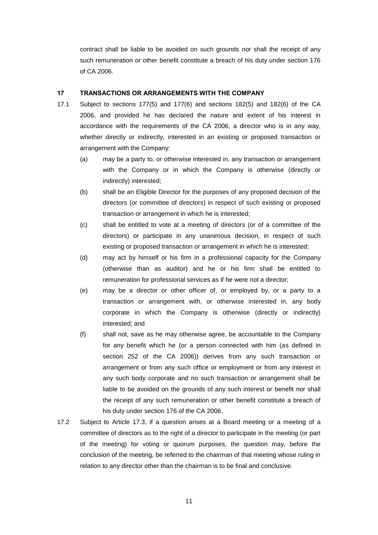contract shall be liable to be avoided on such grounds nor shall the receipt of any such remuneration or other benefit constitute a breach of his duty under section 176 of CA 2006.

#### **17 TRANSACTIONS OR ARRANGEMENTS WITH THE COMPANY**

- 17.1 Subject to sections 177(5) and 177(6) and sections 182(5) and 182(6) of the CA 2006, and provided he has declared the nature and extent of his interest in accordance with the requirements of the CA 2006, a director who is in any way, whether directly or indirectly, interested in an existing or proposed transaction or arrangement with the Company:
	- (a) may be a party to, or otherwise interested in, any transaction or arrangement with the Company or in which the Company is otherwise (directly or indirectly) interested;
	- (b) shall be an Eligible Director for the purposes of any proposed decision of the directors (or committee of directors) in respect of such existing or proposed transaction or arrangement in which he is interested;
	- (c) shall be entitled to vote at a meeting of directors (or of a committee of the directors) or participate in any unanimous decision, in respect of such existing or proposed transaction or arrangement in which he is interested;
	- (d) may act by himself or his firm in a professional capacity for the Company (otherwise than as auditor) and he or his firm shall be entitled to remuneration for professional services as if he were not a director;
	- (e) may be a director or other officer of, or employed by, or a party to a transaction or arrangement with, or otherwise interested in, any body corporate in which the Company is otherwise (directly or indirectly) interested; and
	- (f) shall not, save as he may otherwise agree, be accountable to the Company for any benefit which he (or a person connected with him (as defined in section 252 of the CA 2006)) derives from any such transaction or arrangement or from any such office or employment or from any interest in any such body corporate and no such transaction or arrangement shall be liable to be avoided on the grounds of any such interest or benefit nor shall the receipt of any such remuneration or other benefit constitute a breach of his duty under section 176 of the CA 2006.
- 17.2 Subject to Article 17.3, if a question arises at a Board meeting or a meeting of a committee of directors as to the right of a director to participate in the meeting (or part of the meeting) for voting or quorum purposes, the question may, before the conclusion of the meeting, be referred to the chairman of that meeting whose ruling in relation to any director other than the chairman is to be final and conclusive.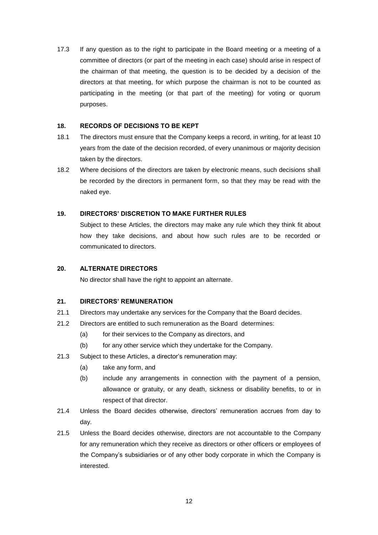17.3 If any question as to the right to participate in the Board meeting or a meeting of a committee of directors (or part of the meeting in each case) should arise in respect of the chairman of that meeting, the question is to be decided by a decision of the directors at that meeting, for which purpose the chairman is not to be counted as participating in the meeting (or that part of the meeting) for voting or quorum purposes.

### **18. RECORDS OF DECISIONS TO BE KEPT**

- 18.1 The directors must ensure that the Company keeps a record, in writing, for at least 10 years from the date of the decision recorded, of every unanimous or majority decision taken by the directors.
- 18.2 Where decisions of the directors are taken by electronic means, such decisions shall be recorded by the directors in permanent form, so that they may be read with the naked eye.

## **19. DIRECTORS' DISCRETION TO MAKE FURTHER RULES**

Subject to these Articles, the directors may make any rule which they think fit about how they take decisions, and about how such rules are to be recorded or communicated to directors.

### **20. ALTERNATE DIRECTORS**

No director shall have the right to appoint an alternate.

#### **21. DIRECTORS' REMUNERATION**

- 21.1 Directors may undertake any services for the Company that the Board decides.
- 21.2 Directors are entitled to such remuneration as the Board determines:
	- (a) for their services to the Company as directors, and
	- (b) for any other service which they undertake for the Company.
- 21.3 Subject to these Articles, a director's remuneration may:
	- (a) take any form, and
	- (b) include any arrangements in connection with the payment of a pension, allowance or gratuity, or any death, sickness or disability benefits, to or in respect of that director.
- 21.4 Unless the Board decides otherwise, directors' remuneration accrues from day to day.
- 21.5 Unless the Board decides otherwise, directors are not accountable to the Company for any remuneration which they receive as directors or other officers or employees of the Company's subsidiaries or of any other body corporate in which the Company is interested.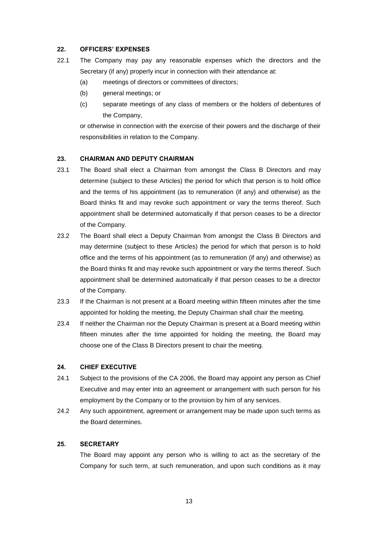### **22. OFFICERS' EXPENSES**

- 22.1 The Company may pay any reasonable expenses which the directors and the Secretary (if any) properly incur in connection with their attendance at:
	- (a) meetings of directors or committees of directors;
	- (b) general meetings; or
	- (c) separate meetings of any class of members or the holders of debentures of the Company,

or otherwise in connection with the exercise of their powers and the discharge of their responsibilities in relation to the Company.

#### **23. CHAIRMAN AND DEPUTY CHAIRMAN**

- 23.1 The Board shall elect a Chairman from amongst the Class B Directors and may determine (subject to these Articles) the period for which that person is to hold office and the terms of his appointment (as to remuneration (if any) and otherwise) as the Board thinks fit and may revoke such appointment or vary the terms thereof. Such appointment shall be determined automatically if that person ceases to be a director of the Company.
- 23.2 The Board shall elect a Deputy Chairman from amongst the Class B Directors and may determine (subject to these Articles) the period for which that person is to hold office and the terms of his appointment (as to remuneration (if any) and otherwise) as the Board thinks fit and may revoke such appointment or vary the terms thereof. Such appointment shall be determined automatically if that person ceases to be a director of the Company.
- 23.3 If the Chairman is not present at a Board meeting within fifteen minutes after the time appointed for holding the meeting, the Deputy Chairman shall chair the meeting.
- 23.4 If neither the Chairman nor the Deputy Chairman is present at a Board meeting within fifteen minutes after the time appointed for holding the meeting, the Board may choose one of the Class B Directors present to chair the meeting.

#### **24. CHIEF EXECUTIVE**

- 24.1 Subject to the provisions of the CA 2006, the Board may appoint any person as Chief Executive and may enter into an agreement or arrangement with such person for his employment by the Company or to the provision by him of any services.
- 24.2 Any such appointment, agreement or arrangement may be made upon such terms as the Board determines.

#### **25. SECRETARY**

The Board may appoint any person who is willing to act as the secretary of the Company for such term, at such remuneration, and upon such conditions as it may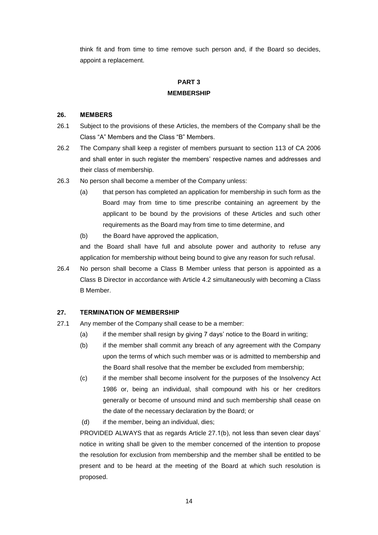think fit and from time to time remove such person and, if the Board so decides, appoint a replacement.

# **PART 3 MEMBERSHIP**

#### **26. MEMBERS**

- 26.1 Subject to the provisions of these Articles, the members of the Company shall be the Class "A" Members and the Class "B" Members.
- 26.2 The Company shall keep a register of members pursuant to section 113 of CA 2006 and shall enter in such register the members' respective names and addresses and their class of membership.
- 26.3 No person shall become a member of the Company unless:
	- (a) that person has completed an application for membership in such form as the Board may from time to time prescribe containing an agreement by the applicant to be bound by the provisions of these Articles and such other requirements as the Board may from time to time determine, and
	- (b) the Board have approved the application,

and the Board shall have full and absolute power and authority to refuse any application for membership without being bound to give any reason for such refusal.

26.4 No person shall become a Class B Member unless that person is appointed as a Class B Director in accordance with Article 4.2 simultaneously with becoming a Class B Member.

#### **27. TERMINATION OF MEMBERSHIP**

- 27.1 Any member of the Company shall cease to be a member:
	- (a) if the member shall resign by giving 7 days' notice to the Board in writing;
	- (b) if the member shall commit any breach of any agreement with the Company upon the terms of which such member was or is admitted to membership and the Board shall resolve that the member be excluded from membership;
	- (c) if the member shall become insolvent for the purposes of the Insolvency Act 1986 or, being an individual, shall compound with his or her creditors generally or become of unsound mind and such membership shall cease on the date of the necessary declaration by the Board; or
	- (d) if the member, being an individual, dies;

PROVIDED ALWAYS that as regards Article 27.1(b), not less than seven clear days' notice in writing shall be given to the member concerned of the intention to propose the resolution for exclusion from membership and the member shall be entitled to be present and to be heard at the meeting of the Board at which such resolution is proposed.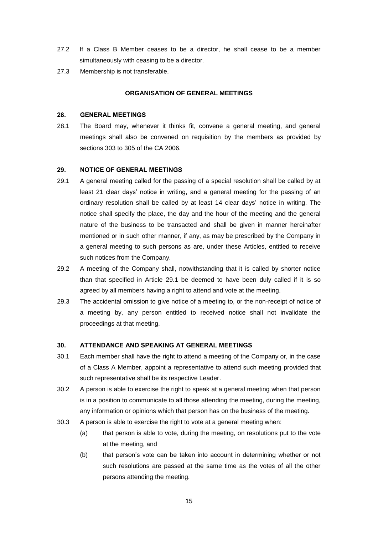- 27.2 If a Class B Member ceases to be a director, he shall cease to be a member simultaneously with ceasing to be a director.
- 27.3 Membership is not transferable.

#### **ORGANISATION OF GENERAL MEETINGS**

#### **28. GENERAL MEETINGS**

28.1 The Board may, whenever it thinks fit, convene a general meeting, and general meetings shall also be convened on requisition by the members as provided by sections 303 to 305 of the CA 2006.

#### **29. NOTICE OF GENERAL MEETINGS**

- 29.1 A general meeting called for the passing of a special resolution shall be called by at least 21 clear days' notice in writing, and a general meeting for the passing of an ordinary resolution shall be called by at least 14 clear days' notice in writing. The notice shall specify the place, the day and the hour of the meeting and the general nature of the business to be transacted and shall be given in manner hereinafter mentioned or in such other manner, if any, as may be prescribed by the Company in a general meeting to such persons as are, under these Articles, entitled to receive such notices from the Company.
- 29.2 A meeting of the Company shall, notwithstanding that it is called by shorter notice than that specified in Article 29.1 be deemed to have been duly called if it is so agreed by all members having a right to attend and vote at the meeting.
- 29.3 The accidental omission to give notice of a meeting to, or the non-receipt of notice of a meeting by, any person entitled to received notice shall not invalidate the proceedings at that meeting.

#### **30. ATTENDANCE AND SPEAKING AT GENERAL MEETINGS**

- 30.1 Each member shall have the right to attend a meeting of the Company or, in the case of a Class A Member, appoint a representative to attend such meeting provided that such representative shall be its respective Leader.
- 30.2 A person is able to exercise the right to speak at a general meeting when that person is in a position to communicate to all those attending the meeting, during the meeting, any information or opinions which that person has on the business of the meeting.
- 30.3 A person is able to exercise the right to vote at a general meeting when:
	- (a) that person is able to vote, during the meeting, on resolutions put to the vote at the meeting, and
	- (b) that person's vote can be taken into account in determining whether or not such resolutions are passed at the same time as the votes of all the other persons attending the meeting.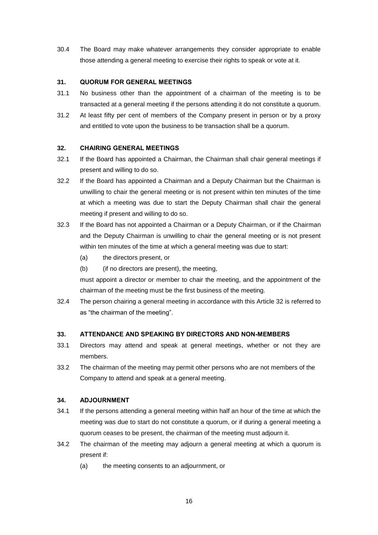30.4 The Board may make whatever arrangements they consider appropriate to enable those attending a general meeting to exercise their rights to speak or vote at it.

### **31. QUORUM FOR GENERAL MEETINGS**

- 31.1 No business other than the appointment of a chairman of the meeting is to be transacted at a general meeting if the persons attending it do not constitute a quorum.
- 31.2 At least fifty per cent of members of the Company present in person or by a proxy and entitled to vote upon the business to be transaction shall be a quorum.

## **32. CHAIRING GENERAL MEETINGS**

- 32.1 If the Board has appointed a Chairman, the Chairman shall chair general meetings if present and willing to do so.
- 32.2 If the Board has appointed a Chairman and a Deputy Chairman but the Chairman is unwilling to chair the general meeting or is not present within ten minutes of the time at which a meeting was due to start the Deputy Chairman shall chair the general meeting if present and willing to do so.
- 32.3 If the Board has not appointed a Chairman or a Deputy Chairman, or if the Chairman and the Deputy Chairman is unwilling to chair the general meeting or is not present within ten minutes of the time at which a general meeting was due to start:
	- (a) the directors present, or
	- (b) (if no directors are present), the meeting,

must appoint a director or member to chair the meeting, and the appointment of the chairman of the meeting must be the first business of the meeting.

32.4 The person chairing a general meeting in accordance with this Article 32 is referred to as "the chairman of the meeting".

# **33. ATTENDANCE AND SPEAKING BY DIRECTORS AND NON-MEMBERS**

- 33.1 Directors may attend and speak at general meetings, whether or not they are members.
- 33.2 The chairman of the meeting may permit other persons who are not members of the Company to attend and speak at a general meeting.

# **34. ADJOURNMENT**

- 34.1 If the persons attending a general meeting within half an hour of the time at which the meeting was due to start do not constitute a quorum, or if during a general meeting a quorum ceases to be present, the chairman of the meeting must adjourn it.
- 34.2 The chairman of the meeting may adjourn a general meeting at which a quorum is present if:
	- (a) the meeting consents to an adjournment, or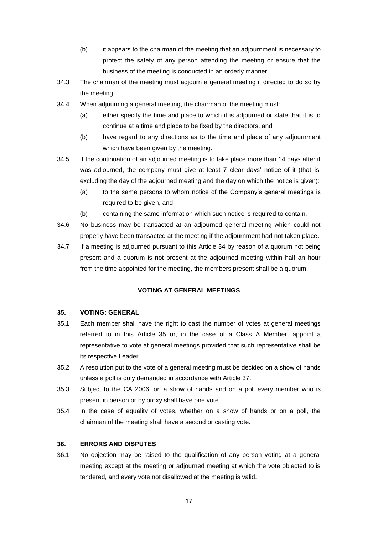- (b) it appears to the chairman of the meeting that an adjournment is necessary to protect the safety of any person attending the meeting or ensure that the business of the meeting is conducted in an orderly manner.
- 34.3 The chairman of the meeting must adjourn a general meeting if directed to do so by the meeting.
- 34.4 When adjourning a general meeting, the chairman of the meeting must:
	- (a) either specify the time and place to which it is adjourned or state that it is to continue at a time and place to be fixed by the directors, and
	- (b) have regard to any directions as to the time and place of any adjournment which have been given by the meeting.
- 34.5 If the continuation of an adjourned meeting is to take place more than 14 days after it was adjourned, the company must give at least 7 clear days' notice of it (that is, excluding the day of the adjourned meeting and the day on which the notice is given):
	- (a) to the same persons to whom notice of the Company's general meetings is required to be given, and
	- (b) containing the same information which such notice is required to contain.
- 34.6 No business may be transacted at an adjourned general meeting which could not properly have been transacted at the meeting if the adjournment had not taken place.
- 34.7 If a meeting is adjourned pursuant to this Article 34 by reason of a quorum not being present and a quorum is not present at the adjourned meeting within half an hour from the time appointed for the meeting, the members present shall be a quorum.

# **VOTING AT GENERAL MEETINGS**

# **35. VOTING: GENERAL**

- 35.1 Each member shall have the right to cast the number of votes at general meetings referred to in this Article 35 or, in the case of a Class A Member, appoint a representative to vote at general meetings provided that such representative shall be its respective Leader.
- 35.2 A resolution put to the vote of a general meeting must be decided on a show of hands unless a poll is duly demanded in accordance with Article 37.
- 35.3 Subject to the CA 2006, on a show of hands and on a poll every member who is present in person or by proxy shall have one vote.
- 35.4 In the case of equality of votes, whether on a show of hands or on a poll, the chairman of the meeting shall have a second or casting vote.

# **36. ERRORS AND DISPUTES**

36.1 No objection may be raised to the qualification of any person voting at a general meeting except at the meeting or adjourned meeting at which the vote objected to is tendered, and every vote not disallowed at the meeting is valid.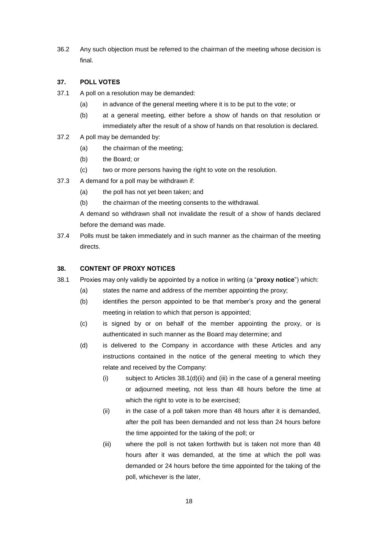36.2 Any such objection must be referred to the chairman of the meeting whose decision is final.

## **37. POLL VOTES**

- 37.1 A poll on a resolution may be demanded:
	- (a) in advance of the general meeting where it is to be put to the vote; or
	- (b) at a general meeting, either before a show of hands on that resolution or immediately after the result of a show of hands on that resolution is declared.
- 37.2 A poll may be demanded by:
	- (a) the chairman of the meeting;
	- (b) the Board; or
	- (c) two or more persons having the right to vote on the resolution.
- 37.3 A demand for a poll may be withdrawn if:
	- (a) the poll has not yet been taken; and
	- (b) the chairman of the meeting consents to the withdrawal.

A demand so withdrawn shall not invalidate the result of a show of hands declared before the demand was made.

37.4 Polls must be taken immediately and in such manner as the chairman of the meeting directs.

### **38. CONTENT OF PROXY NOTICES**

- 38.1 Proxies may only validly be appointed by a notice in writing (a "**proxy notice**") which:
	- (a) states the name and address of the member appointing the proxy;
	- (b) identifies the person appointed to be that member's proxy and the general meeting in relation to which that person is appointed;
	- (c) is signed by or on behalf of the member appointing the proxy, or is authenticated in such manner as the Board may determine; and
	- (d) is delivered to the Company in accordance with these Articles and any instructions contained in the notice of the general meeting to which they relate and received by the Company:
		- (i) subject to Articles 38.1(d)(ii) and (iii) in the case of a general meeting or adjourned meeting, not less than 48 hours before the time at which the right to vote is to be exercised;
		- (ii) in the case of a poll taken more than 48 hours after it is demanded, after the poll has been demanded and not less than 24 hours before the time appointed for the taking of the poll; or
		- (iii) where the poll is not taken forthwith but is taken not more than 48 hours after it was demanded, at the time at which the poll was demanded or 24 hours before the time appointed for the taking of the poll, whichever is the later,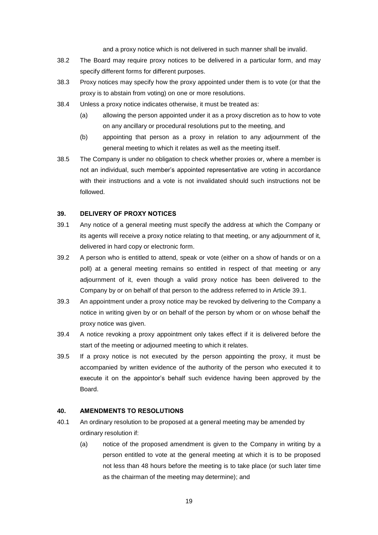and a proxy notice which is not delivered in such manner shall be invalid.

- 38.2 The Board may require proxy notices to be delivered in a particular form, and may specify different forms for different purposes.
- 38.3 Proxy notices may specify how the proxy appointed under them is to vote (or that the proxy is to abstain from voting) on one or more resolutions.
- 38.4 Unless a proxy notice indicates otherwise, it must be treated as:
	- (a) allowing the person appointed under it as a proxy discretion as to how to vote on any ancillary or procedural resolutions put to the meeting, and
	- (b) appointing that person as a proxy in relation to any adjournment of the general meeting to which it relates as well as the meeting itself.
- 38.5 The Company is under no obligation to check whether proxies or, where a member is not an individual, such member's appointed representative are voting in accordance with their instructions and a vote is not invalidated should such instructions not be followed.

#### **39. DELIVERY OF PROXY NOTICES**

- 39.1 Any notice of a general meeting must specify the address at which the Company or its agents will receive a proxy notice relating to that meeting, or any adjournment of it, delivered in hard copy or electronic form.
- 39.2 A person who is entitled to attend, speak or vote (either on a show of hands or on a poll) at a general meeting remains so entitled in respect of that meeting or any adjournment of it, even though a valid proxy notice has been delivered to the Company by or on behalf of that person to the address referred to in Article 39.1.
- 39.3 An appointment under a proxy notice may be revoked by delivering to the Company a notice in writing given by or on behalf of the person by whom or on whose behalf the proxy notice was given.
- 39.4 A notice revoking a proxy appointment only takes effect if it is delivered before the start of the meeting or adjourned meeting to which it relates.
- 39.5 If a proxy notice is not executed by the person appointing the proxy, it must be accompanied by written evidence of the authority of the person who executed it to execute it on the appointor's behalf such evidence having been approved by the Board.

#### **40. AMENDMENTS TO RESOLUTIONS**

- 40.1 An ordinary resolution to be proposed at a general meeting may be amended by ordinary resolution if:
	- (a) notice of the proposed amendment is given to the Company in writing by a person entitled to vote at the general meeting at which it is to be proposed not less than 48 hours before the meeting is to take place (or such later time as the chairman of the meeting may determine); and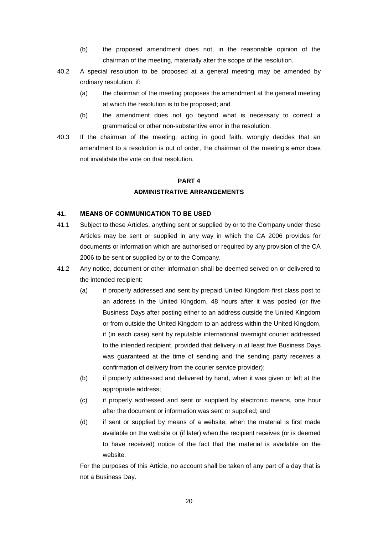- (b) the proposed amendment does not, in the reasonable opinion of the chairman of the meeting, materially alter the scope of the resolution.
- 40.2 A special resolution to be proposed at a general meeting may be amended by ordinary resolution, if:
	- (a) the chairman of the meeting proposes the amendment at the general meeting at which the resolution is to be proposed; and
	- (b) the amendment does not go beyond what is necessary to correct a grammatical or other non-substantive error in the resolution.
- 40.3 If the chairman of the meeting, acting in good faith, wrongly decides that an amendment to a resolution is out of order, the chairman of the meeting's error does not invalidate the vote on that resolution.

# **PART 4**

## **ADMINISTRATIVE ARRANGEMENTS**

#### **41. MEANS OF COMMUNICATION TO BE USED**

- 41.1 Subject to these Articles, anything sent or supplied by or to the Company under these Articles may be sent or supplied in any way in which the CA 2006 provides for documents or information which are authorised or required by any provision of the CA 2006 to be sent or supplied by or to the Company.
- 41.2 Any notice, document or other information shall be deemed served on or delivered to the intended recipient:
	- (a) if properly addressed and sent by prepaid United Kingdom first class post to an address in the United Kingdom, 48 hours after it was posted (or five Business Days after posting either to an address outside the United Kingdom or from outside the United Kingdom to an address within the United Kingdom, if (in each case) sent by reputable international overnight courier addressed to the intended recipient, provided that delivery in at least five Business Days was guaranteed at the time of sending and the sending party receives a confirmation of delivery from the courier service provider);
	- (b) if properly addressed and delivered by hand, when it was given or left at the appropriate address;
	- (c) if properly addressed and sent or supplied by electronic means, one hour after the document or information was sent or supplied; and
	- (d) if sent or supplied by means of a website, when the material is first made available on the website or (if later) when the recipient receives (or is deemed to have received) notice of the fact that the material is available on the website.

For the purposes of this Article, no account shall be taken of any part of a day that is not a Business Day.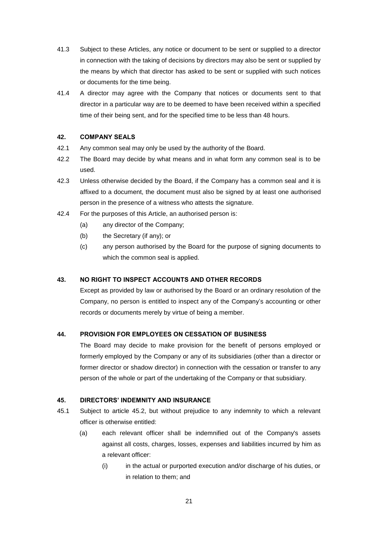- 41.3 Subject to these Articles, any notice or document to be sent or supplied to a director in connection with the taking of decisions by directors may also be sent or supplied by the means by which that director has asked to be sent or supplied with such notices or documents for the time being.
- 41.4 A director may agree with the Company that notices or documents sent to that director in a particular way are to be deemed to have been received within a specified time of their being sent, and for the specified time to be less than 48 hours.

## **42. COMPANY SEALS**

- 42.1 Any common seal may only be used by the authority of the Board.
- 42.2 The Board may decide by what means and in what form any common seal is to be used.
- 42.3 Unless otherwise decided by the Board, if the Company has a common seal and it is affixed to a document, the document must also be signed by at least one authorised person in the presence of a witness who attests the signature.
- 42.4 For the purposes of this Article, an authorised person is:
	- (a) any director of the Company;
	- (b) the Secretary (if any); or
	- (c) any person authorised by the Board for the purpose of signing documents to which the common seal is applied.

# **43. NO RIGHT TO INSPECT ACCOUNTS AND OTHER RECORDS**

Except as provided by law or authorised by the Board or an ordinary resolution of the Company, no person is entitled to inspect any of the Company's accounting or other records or documents merely by virtue of being a member.

#### **44. PROVISION FOR EMPLOYEES ON CESSATION OF BUSINESS**

The Board may decide to make provision for the benefit of persons employed or formerly employed by the Company or any of its subsidiaries (other than a director or former director or shadow director) in connection with the cessation or transfer to any person of the whole or part of the undertaking of the Company or that subsidiary.

#### **45. DIRECTORS' INDEMNITY AND INSURANCE**

- 45.1 Subject to article 45.2, but without prejudice to any indemnity to which a relevant officer is otherwise entitled:
	- (a) each relevant officer shall be indemnified out of the Company's assets against all costs, charges, losses, expenses and liabilities incurred by him as a relevant officer:
		- (i) in the actual or purported execution and/or discharge of his duties, or in relation to them; and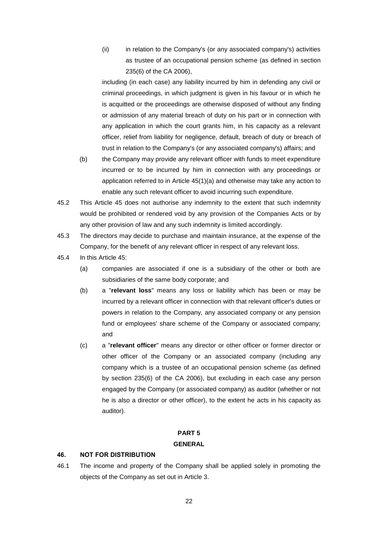(ii) in relation to the Company's (or any associated company's) activities as trustee of an occupational pension scheme (as defined in section 235(6) of the CA 2006),

including (in each case) any liability incurred by him in defending any civil or criminal proceedings, in which judgment is given in his favour or in which he is acquitted or the proceedings are otherwise disposed of without any finding or admission of any material breach of duty on his part or in connection with any application in which the court grants him, in his capacity as a relevant officer, relief from liability for negligence, default, breach of duty or breach of trust in relation to the Company's (or any associated company's) affairs; and

- (b) the Company may provide any relevant officer with funds to meet expenditure incurred or to be incurred by him in connection with any proceedings or application referred to in Article 45(1)(a) and otherwise may take any action to enable any such relevant officer to avoid incurring such expenditure.
- 45.2 This Article 45 does not authorise any indemnity to the extent that such indemnity would be prohibited or rendered void by any provision of the Companies Acts or by any other provision of law and any such indemnity is limited accordingly.
- 45.3 The directors may decide to purchase and maintain insurance, at the expense of the Company, for the benefit of any relevant officer in respect of any relevant loss.
- 45.4 In this Article 45:
	- (a) companies are associated if one is a subsidiary of the other or both are subsidiaries of the same body corporate; and
	- (b) a "**relevant loss**" means any loss or liability which has been or may be incurred by a relevant officer in connection with that relevant officer's duties or powers in relation to the Company, any associated company or any pension fund or employees' share scheme of the Company or associated company; and
	- (c) a "**relevant officer**" means any director or other officer or former director or other officer of the Company or an associated company (including any company which is a trustee of an occupational pension scheme (as defined by section 235(6) of the CA 2006), but excluding in each case any person engaged by the Company (or associated company) as auditor (whether or not he is also a director or other officer), to the extent he acts in his capacity as auditor).

## **PART 5 GENERAL**

#### **46. NOT FOR DISTRIBUTION**

46.1 The income and property of the Company shall be applied solely in promoting the objects of the Company as set out in Article 3.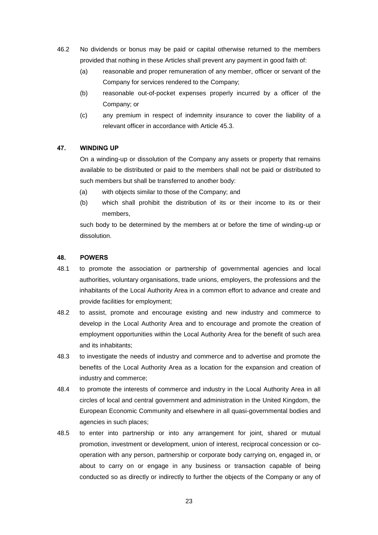- 46.2 No dividends or bonus may be paid or capital otherwise returned to the members provided that nothing in these Articles shall prevent any payment in good faith of:
	- (a) reasonable and proper remuneration of any member, officer or servant of the Company for services rendered to the Company;
	- (b) reasonable out-of-pocket expenses properly incurred by a officer of the Company; or
	- (c) any premium in respect of indemnity insurance to cover the liability of a relevant officer in accordance with Article 45.3.

#### **47. WINDING UP**

On a winding-up or dissolution of the Company any assets or property that remains available to be distributed or paid to the members shall not be paid or distributed to such members but shall be transferred to another body:

- (a) with objects similar to those of the Company; and
- (b) which shall prohibit the distribution of its or their income to its or their members,

such body to be determined by the members at or before the time of winding-up or dissolution.

#### **48. POWERS**

- 48.1 to promote the association or partnership of governmental agencies and local authorities, voluntary organisations, trade unions, employers, the professions and the inhabitants of the Local Authority Area in a common effort to advance and create and provide facilities for employment;
- 48.2 to assist, promote and encourage existing and new industry and commerce to develop in the Local Authority Area and to encourage and promote the creation of employment opportunities within the Local Authority Area for the benefit of such area and its inhabitants;
- 48.3 to investigate the needs of industry and commerce and to advertise and promote the benefits of the Local Authority Area as a location for the expansion and creation of industry and commerce;
- 48.4 to promote the interests of commerce and industry in the Local Authority Area in all circles of local and central government and administration in the United Kingdom, the European Economic Community and elsewhere in all quasi-governmental bodies and agencies in such places;
- 48.5 to enter into partnership or into any arrangement for joint, shared or mutual promotion, investment or development, union of interest, reciprocal concession or cooperation with any person, partnership or corporate body carrying on, engaged in, or about to carry on or engage in any business or transaction capable of being conducted so as directly or indirectly to further the objects of the Company or any of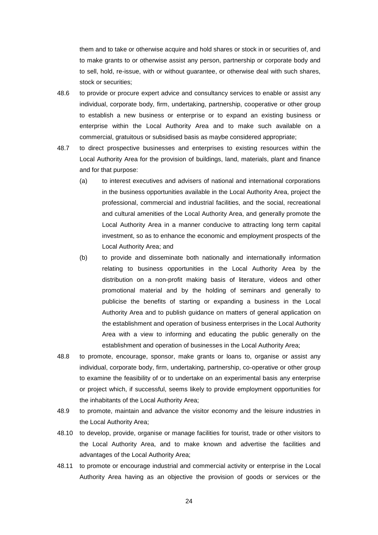them and to take or otherwise acquire and hold shares or stock in or securities of, and to make grants to or otherwise assist any person, partnership or corporate body and to sell, hold, re-issue, with or without guarantee, or otherwise deal with such shares, stock or securities;

- 48.6 to provide or procure expert advice and consultancy services to enable or assist any individual, corporate body, firm, undertaking, partnership, cooperative or other group to establish a new business or enterprise or to expand an existing business or enterprise within the Local Authority Area and to make such available on a commercial, gratuitous or subsidised basis as maybe considered appropriate;
- 48.7 to direct prospective businesses and enterprises to existing resources within the Local Authority Area for the provision of buildings, land, materials, plant and finance and for that purpose:
	- (a) to interest executives and advisers of national and international corporations in the business opportunities available in the Local Authority Area, project the professional, commercial and industrial facilities, and the social, recreational and cultural amenities of the Local Authority Area, and generally promote the Local Authority Area in a manner conducive to attracting long term capital investment, so as to enhance the economic and employment prospects of the Local Authority Area; and
	- (b) to provide and disseminate both nationally and internationally information relating to business opportunities in the Local Authority Area by the distribution on a non-profit making basis of literature, videos and other promotional material and by the holding of seminars and generally to publicise the benefits of starting or expanding a business in the Local Authority Area and to publish guidance on matters of general application on the establishment and operation of business enterprises in the Local Authority Area with a view to informing and educating the public generally on the establishment and operation of businesses in the Local Authority Area;
- 48.8 to promote, encourage, sponsor, make grants or loans to, organise or assist any individual, corporate body, firm, undertaking, partnership, co-operative or other group to examine the feasibility of or to undertake on an experimental basis any enterprise or project which, if successful, seems likely to provide employment opportunities for the inhabitants of the Local Authority Area;
- 48.9 to promote, maintain and advance the visitor economy and the leisure industries in the Local Authority Area;
- 48.10 to develop, provide, organise or manage facilities for tourist, trade or other visitors to the Local Authority Area, and to make known and advertise the facilities and advantages of the Local Authority Area;
- 48.11 to promote or encourage industrial and commercial activity or enterprise in the Local Authority Area having as an objective the provision of goods or services or the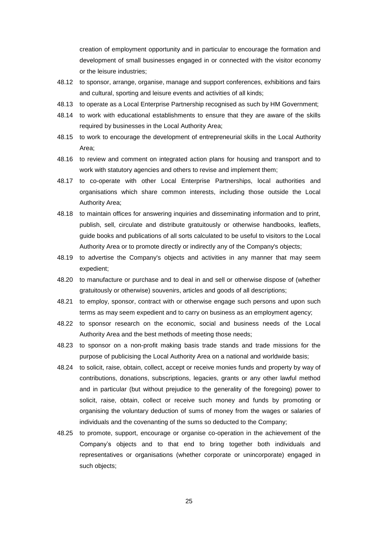creation of employment opportunity and in particular to encourage the formation and development of small businesses engaged in or connected with the visitor economy or the leisure industries;

- 48.12 to sponsor, arrange, organise, manage and support conferences, exhibitions and fairs and cultural, sporting and leisure events and activities of all kinds;
- 48.13 to operate as a Local Enterprise Partnership recognised as such by HM Government;
- 48.14 to work with educational establishments to ensure that they are aware of the skills required by businesses in the Local Authority Area;
- 48.15 to work to encourage the development of entrepreneurial skills in the Local Authority Area;
- 48.16 to review and comment on integrated action plans for housing and transport and to work with statutory agencies and others to revise and implement them;
- 48.17 to co-operate with other Local Enterprise Partnerships, local authorities and organisations which share common interests, including those outside the Local Authority Area;
- 48.18 to maintain offices for answering inquiries and disseminating information and to print, publish, sell, circulate and distribute gratuitously or otherwise handbooks, leaflets, guide books and publications of all sorts calculated to be useful to visitors to the Local Authority Area or to promote directly or indirectly any of the Company's objects;
- 48.19 to advertise the Company's objects and activities in any manner that may seem expedient;
- 48.20 to manufacture or purchase and to deal in and sell or otherwise dispose of (whether gratuitously or otherwise) souvenirs, articles and goods of all descriptions;
- 48.21 to employ, sponsor, contract with or otherwise engage such persons and upon such terms as may seem expedient and to carry on business as an employment agency;
- 48.22 to sponsor research on the economic, social and business needs of the Local Authority Area and the best methods of meeting those needs;
- 48.23 to sponsor on a non-profit making basis trade stands and trade missions for the purpose of publicising the Local Authority Area on a national and worldwide basis;
- 48.24 to solicit, raise, obtain, collect, accept or receive monies funds and property by way of contributions, donations, subscriptions, legacies, grants or any other lawful method and in particular (but without prejudice to the generality of the foregoing) power to solicit, raise, obtain, collect or receive such money and funds by promoting or organising the voluntary deduction of sums of money from the wages or salaries of individuals and the covenanting of the sums so deducted to the Company;
- 48.25 to promote, support, encourage or organise co-operation in the achievement of the Company's objects and to that end to bring together both individuals and representatives or organisations (whether corporate or unincorporate) engaged in such objects;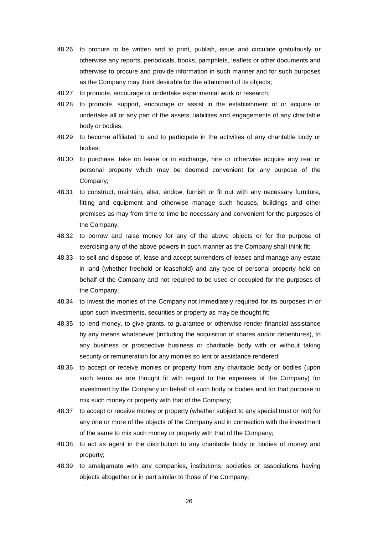- 48.26 to procure to be written and to print, publish, issue and circulate gratuitously or otherwise any reports, periodicals, books, pamphlets, leaflets or other documents and otherwise to procure and provide information in such manner and for such purposes as the Company may think desirable for the attainment of its objects;
- 48.27 to promote, encourage or undertake experimental work or research;
- 48.28 to promote, support, encourage or assist in the establishment of or acquire or undertake all or any part of the assets, liabilities and engagements of any charitable body or bodies;
- 48.29 to become affiliated to and to participate in the activities of any charitable body or bodies;
- 48.30 to purchase, take on lease or in exchange, hire or otherwise acquire any real or personal property which may be deemed convenient for any purpose of the Company;
- 48.31 to construct, maintain, alter, endow, furnish or fit out with any necessary furniture, fitting and equipment and otherwise manage such houses, buildings and other premises as may from time to time be necessary and convenient for the purposes of the Company;
- 48.32 to borrow and raise money for any of the above objects or for the purpose of exercising any of the above powers in such manner as the Company shall think fit;
- 48.33 to sell and dispose of, lease and accept surrenders of leases and manage any estate in land (whether freehold or leasehold) and any type of personal property held on behalf of the Company and not required to be used or occupied for the purposes of the Company;
- 48.34 to invest the monies of the Company not immediately required for its purposes in or upon such investments, securities or property as may be thought fit;
- 48.35 to lend money, to give grants, to guarantee or otherwise render financial assistance by any means whatsoever (including the acquisition of shares and/or debentures), to any business or prospective business or charitable body with or without taking security or remuneration for any monies so lent or assistance rendered;
- 48.36 to accept or receive monies or property from any charitable body or bodies (upon such terms as are thought fit with regard to the expenses of the Company) for investment by the Company on behalf of such body or bodies and for that purpose to mix such money or property with that of the Company;
- 48.37 to accept or receive money or property (whether subject to any special trust or not) for any one or more of the objects of the Company and in connection with the investment of the same to mix such money or property with that of the Company;
- 48.38 to act as agent in the distribution to any charitable body or bodies of money and property;
- 48.39 to amalgamate with any companies, institutions, societies or associations having objects altogether or in part similar to those of the Company;